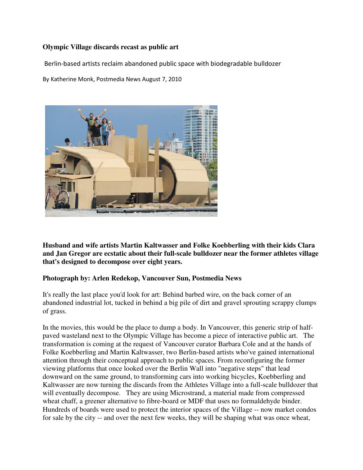## **Olympic Village discards recast as public art**

Berlin-based artists reclaim abandoned public space with biodegradable bulldozer

By Katherine Monk, Postmedia News August 7, 2010



**Husband and wife artists Martin Kaltwasser and Folke Koebberling with their kids Clara and Jan Gregor are ecstatic about their full-scale bulldozer near the former athletes village that's designed to decompose over eight years.** 

## **Photograph by: Arlen Redekop, Vancouver Sun, Postmedia News**

It's really the last place you'd look for art: Behind barbed wire, on the back corner of an abandoned industrial lot, tucked in behind a big pile of dirt and gravel sprouting scrappy clumps of grass.

In the movies, this would be the place to dump a body. In Vancouver, this generic strip of halfpaved wasteland next to the Olympic Village has become a piece of interactive public art. The transformation is coming at the request of Vancouver curator Barbara Cole and at the hands of Folke Koebberling and Martin Kaltwasser, two Berlin-based artists who've gained international attention through their conceptual approach to public spaces. From reconfiguring the former viewing platforms that once looked over the Berlin Wall into "negative steps" that lead downward on the same ground, to transforming cars into working bicycles, Koebberling and Kaltwasser are now turning the discards from the Athletes Village into a full-scale bulldozer that will eventually decompose. They are using Microstrand, a material made from compressed wheat chaff, a greener alternative to fibre-board or MDF that uses no formaldehyde binder. Hundreds of boards were used to protect the interior spaces of the Village -- now market condos for sale by the city -- and over the next few weeks, they will be shaping what was once wheat,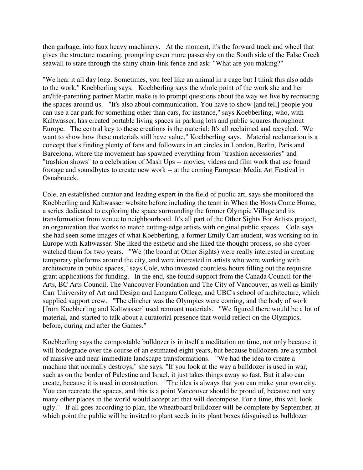then garbage, into faux heavy machinery. At the moment, it's the forward track and wheel that gives the structure meaning, prompting even more passersby on the South side of the False Creek seawall to stare through the shiny chain-link fence and ask: "What are you making?"

"We hear it all day long. Sometimes, you feel like an animal in a cage but I think this also adds to the work," Koebberling says. Koebberling says the whole point of the work she and her art/life-parenting partner Martin make is to prompt questions about the way we live by recreating the spaces around us. "It's also about communication. You have to show [and tell] people you can use a car park for something other than cars, for instance," says Koebberling, who, with Kaltwasser, has created portable living spaces in parking lots and public squares throughout Europe. The central key to these creations is the material: It's all reclaimed and recycled. "We want to show how these materials still have value," Koebberling says. Material reclamation is a concept that's finding plenty of fans and followers in art circles in London, Berlin, Paris and Barcelona, where the movement has spawned everything from "trashion accessories" and "trashion shows" to a celebration of Mash Ups -- movies, videos and film work that use found footage and soundbytes to create new work -- at the coming European Media Art Festival in Osnabrueck.

Cole, an established curator and leading expert in the field of public art, says she monitored the Koebberling and Kaltwasser website before including the team in When the Hosts Come Home, a series dedicated to exploring the space surrounding the former Olympic Village and its transformation from venue to neighbourhood. It's all part of the Other Sights For Artists project, an organization that works to match cutting-edge artists with original public spaces. Cole says she had seen some images of what Koebberling, a former Emily Carr student, was working on in Europe with Kaltwasser. She liked the esthetic and she liked the thought process, so she cyberwatched them for two years. "We (the board at Other Sights) were really interested in creating temporary platforms around the city, and were interested in artists who were working with architecture in public spaces," says Cole, who invested countless hours filling out the requisite grant applications for funding. In the end, she found support from the Canada Council for the Arts, BC Arts Council, The Vancouver Foundation and The City of Vancouver, as well as Emily Carr University of Art and Design and Langara College, and UBC's school of architecture, which supplied support crew. "The clincher was the Olympics were coming, and the body of work [from Koebberling and Kaltwasser] used remnant materials. "We figured there would be a lot of material, and started to talk about a curatorial presence that would reflect on the Olympics, before, during and after the Games."

Koebberling says the compostable bulldozer is in itself a meditation on time, not only because it will biodegrade over the course of an estimated eight years, but because bulldozers are a symbol of massive and near-immediate landscape transformations. "We had the idea to create a machine that normally destroys," she says. "If you look at the way a bulldozer is used in war, such as on the border of Palestine and Israel, it just takes things away so fast. But it also can create, because it is used in construction. "The idea is always that you can make your own city. You can recreate the spaces, and this is a point Vancouver should be proud of, because not very many other places in the world would accept art that will decompose. For a time, this will look ugly." If all goes according to plan, the wheatboard bulldozer will be complete by September, at which point the public will be invited to plant seeds in its plant boxes (disguised as bulldozer